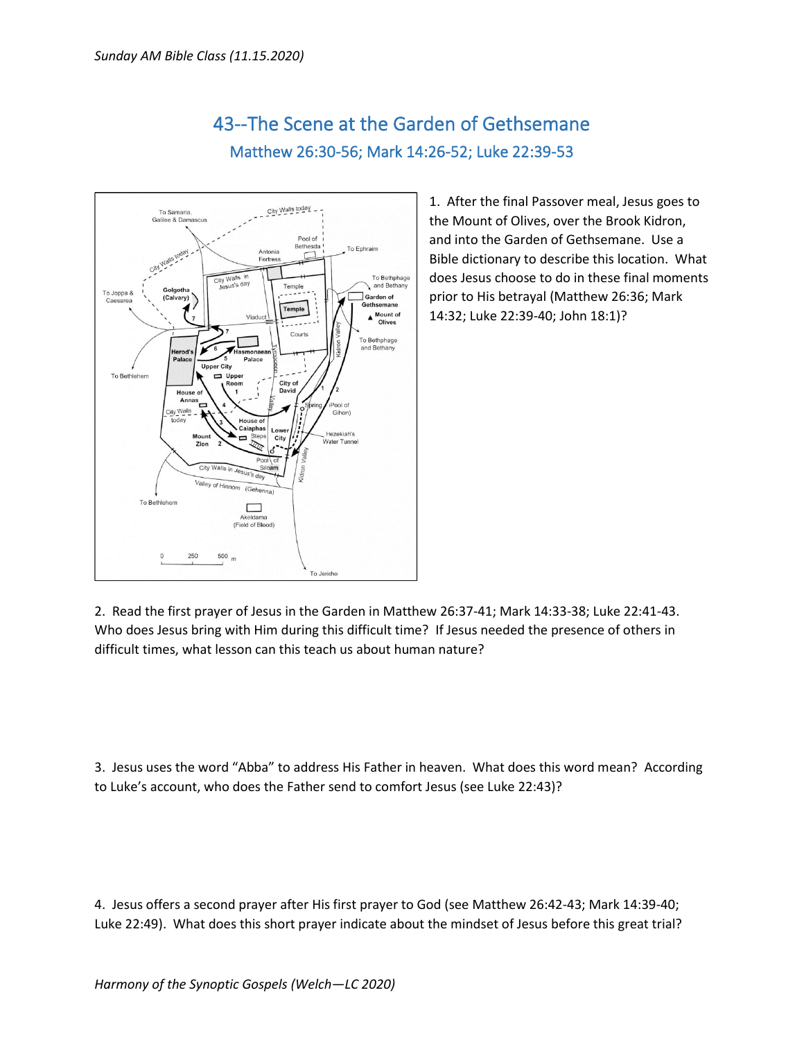

## 43--The Scene at the Garden of Gethsemane Matthew 26:30-56; Mark 14:26-52; Luke 22:39-53

1. After the final Passover meal, Jesus goes to the Mount of Olives, over the Brook Kidron, and into the Garden of Gethsemane. Use a Bible dictionary to describe this location. What does Jesus choose to do in these final moments prior to His betrayal (Matthew 26:36; Mark 14:32; Luke 22:39-40; John 18:1)?

2. Read the first prayer of Jesus in the Garden in Matthew 26:37-41; Mark 14:33-38; Luke 22:41-43. Who does Jesus bring with Him during this difficult time? If Jesus needed the presence of others in difficult times, what lesson can this teach us about human nature?

3. Jesus uses the word "Abba" to address His Father in heaven. What does this word mean? According to Luke's account, who does the Father send to comfort Jesus (see Luke 22:43)?

4. Jesus offers a second prayer after His first prayer to God (see Matthew 26:42-43; Mark 14:39-40; Luke 22:49). What does this short prayer indicate about the mindset of Jesus before this great trial?